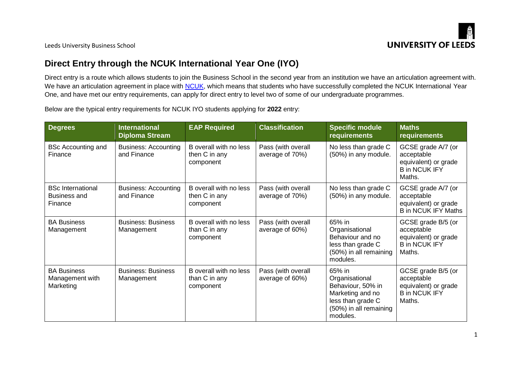

Leeds University Business School

## **Direct Entry through the NCUK International Year One (IYO)**

Direct entry is a route which allows students to join the Business School in the second year from an institution we have an articulation agreement with. We have an articulation agreement in place with [NCUK,](https://www.ncuk.ac.uk/ncuk-qualifications/ncuk-international-year-one/) which means that students who have successfully completed the NCUK International Year One, and have met our entry requirements, can apply for direct entry to level two of some of our undergraduate programmes.

Below are the typical entry requirements for NCUK IYO students applying for **2022** entry:

| <b>Degrees</b>                                      | <b>International</b><br><b>Diploma Stream</b> | <b>EAP Required</b>                                  | <b>Classification</b>                 | <b>Specific module</b><br><b>requirements</b>                                                                                | <b>Maths</b><br>requirements                                                               |
|-----------------------------------------------------|-----------------------------------------------|------------------------------------------------------|---------------------------------------|------------------------------------------------------------------------------------------------------------------------------|--------------------------------------------------------------------------------------------|
| <b>BSc Accounting and</b><br>Finance                | <b>Business: Accounting</b><br>and Finance    | B overall with no less<br>then C in any<br>component | Pass (with overall<br>average of 70%) | No less than grade C<br>(50%) in any module.                                                                                 | GCSE grade A/7 (or<br>acceptable<br>equivalent) or grade<br><b>B</b> in NCUK IFY<br>Maths. |
| <b>BSc International</b><br>Business and<br>Finance | <b>Business: Accounting</b><br>and Finance    | B overall with no less<br>then C in any<br>component | Pass (with overall<br>average of 70%) | No less than grade C<br>(50%) in any module.                                                                                 | GCSE grade A/7 (or<br>acceptable<br>equivalent) or grade<br><b>B</b> in NCUK IFY Maths     |
| <b>BA Business</b><br>Management                    | <b>Business: Business</b><br>Management       | B overall with no less<br>than C in any<br>component | Pass (with overall<br>average of 60%) | 65% in<br>Organisational<br>Behaviour and no<br>less than grade C<br>(50%) in all remaining<br>modules.                      | GCSE grade B/5 (or<br>acceptable<br>equivalent) or grade<br><b>B</b> in NCUK IFY<br>Maths. |
| <b>BA Business</b><br>Management with<br>Marketing  | <b>Business: Business</b><br>Management       | B overall with no less<br>than C in any<br>component | Pass (with overall<br>average of 60%) | 65% in<br>Organisational<br>Behaviour, 50% in<br>Marketing and no<br>less than grade C<br>(50%) in all remaining<br>modules. | GCSE grade B/5 (or<br>acceptable<br>equivalent) or grade<br><b>B</b> in NCUK IFY<br>Maths. |